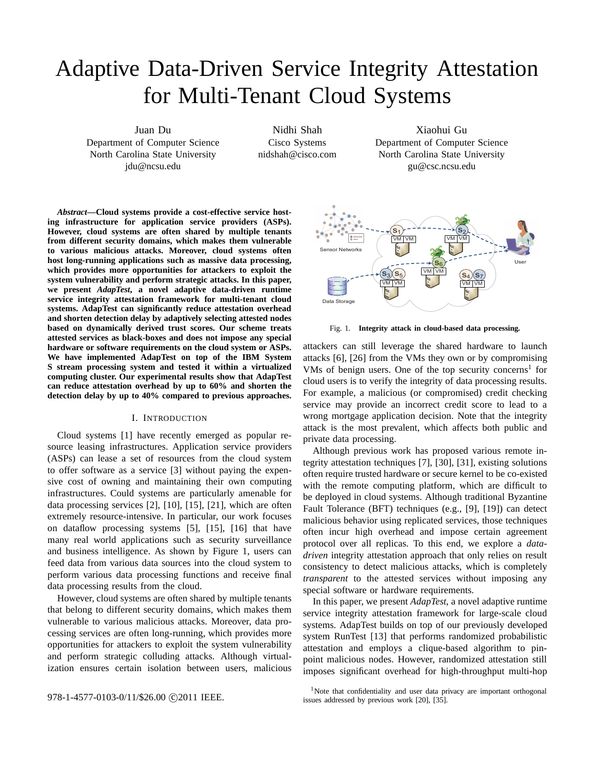# Adaptive Data-Driven Service Integrity Attestation for Multi-Tenant Cloud Systems

Juan Du Department of Computer Science North Carolina State University jdu@ncsu.edu

Nidhi Shah Cisco Systems nidshah@cisco.com

Xiaohui Gu Department of Computer Science North Carolina State University gu@csc.ncsu.edu

*Abstract***—Cloud systems provide a cost-effective service hosting infrastructure for application service providers (ASPs). However, cloud systems are often shared by multiple tenants from different security domains, which makes them vulnerable to various malicious attacks. Moreover, cloud systems often host long-running applications such as massive data processing, which provides more opportunities for attackers to exploit the system vulnerability and perform strategic attacks. In this paper, we present** *AdapTest***, a novel adaptive data-driven runtime service integrity attestation framework for multi-tenant cloud systems. AdapTest can significantly reduce attestation overhead and shorten detection delay by adaptively selecting attested nodes based on dynamically derived trust scores. Our scheme treats attested services as black-boxes and does not impose any special hardware or software requirements on the cloud system or ASPs. We have implemented AdapTest on top of the IBM System S stream processing system and tested it within a virtualized computing cluster. Our experimental results show that AdapTest can reduce attestation overhead by up to 60% and shorten the detection delay by up to 40% compared to previous approaches.**

## I. INTRODUCTION

Cloud systems [1] have recently emerged as popular resource leasing infrastructures. Application service providers (ASPs) can lease a set of resources from the cloud system to offer software as a service [3] without paying the expensive cost of owning and maintaining their own computing infrastructures. Could systems are particularly amenable for data processing services [2], [10], [15], [21], which are often extremely resource-intensive. In particular, our work focuses on dataflow processing systems [5], [15], [16] that have many real world applications such as security surveillance and business intelligence. As shown by Figure 1, users can feed data from various data sources into the cloud system to perform various data processing functions and receive final data processing results from the cloud.

However, cloud systems are often shared by multiple tenants that belong to different security domains, which makes them vulnerable to various malicious attacks. Moreover, data processing services are often long-running, which provides more opportunities for attackers to exploit the system vulnerability and perform strategic colluding attacks. Although virtualization ensures certain isolation between users, malicious



attackers can still leverage the shared hardware to launch attacks [6], [26] from the VMs they own or by compromising VMs of benign users. One of the top security concerns<sup>1</sup> for cloud users is to verify the integrity of data processing results. For example, a malicious (or compromised) credit checking service may provide an incorrect credit score to lead to a wrong mortgage application decision. Note that the integrity attack is the most prevalent, which affects both public and private data processing.

Although previous work has proposed various remote integrity attestation techniques [7], [30], [31], existing solutions often require trusted hardware or secure kernel to be co-existed with the remote computing platform, which are difficult to be deployed in cloud systems. Although traditional Byzantine Fault Tolerance (BFT) techniques (e.g., [9], [19]) can detect malicious behavior using replicated services, those techniques often incur high overhead and impose certain agreement protocol over all replicas. To this end, we explore a *datadriven* integrity attestation approach that only relies on result consistency to detect malicious attacks, which is completely *transparent* to the attested services without imposing any special software or hardware requirements.

In this paper, we present *AdapTest*, a novel adaptive runtime service integrity attestation framework for large-scale cloud systems. AdapTest builds on top of our previously developed system RunTest [13] that performs randomized probabilistic attestation and employs a clique-based algorithm to pinpoint malicious nodes. However, randomized attestation still imposes significant overhead for high-throughput multi-hop



<sup>&</sup>lt;sup>1</sup>Note that confidentiality and user data privacy are important orthogonal issues addressed by previous work [20], [35].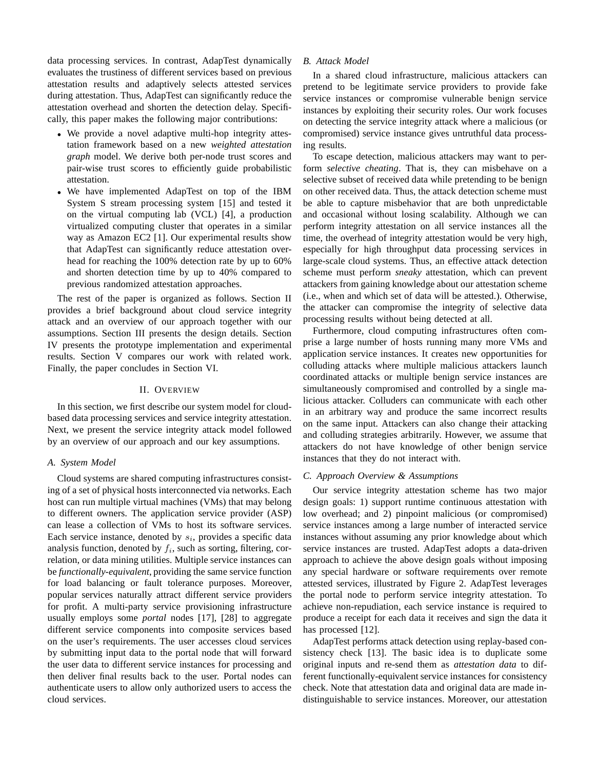data processing services. In contrast, AdapTest dynamically evaluates the trustiness of different services based on previous attestation results and adaptively selects attested services during attestation. Thus, AdapTest can significantly reduce the attestation overhead and shorten the detection delay. Specifically, this paper makes the following major contributions:

- We provide a novel adaptive multi-hop integrity attestation framework based on a new *weighted attestation graph* model. We derive both per-node trust scores and pair-wise trust scores to efficiently guide probabilistic attestation.
- We have implemented AdapTest on top of the IBM System S stream processing system [15] and tested it on the virtual computing lab (VCL) [4], a production virtualized computing cluster that operates in a similar way as Amazon EC2 [1]. Our experimental results show that AdapTest can significantly reduce attestation overhead for reaching the 100% detection rate by up to 60% and shorten detection time by up to 40% compared to previous randomized attestation approaches.

The rest of the paper is organized as follows. Section II provides a brief background about cloud service integrity attack and an overview of our approach together with our assumptions. Section III presents the design details. Section IV presents the prototype implementation and experimental results. Section V compares our work with related work. Finally, the paper concludes in Section VI.

#### II. OVERVIEW

In this section, we first describe our system model for cloudbased data processing services and service integrity attestation. Next, we present the service integrity attack model followed by an overview of our approach and our key assumptions.

## *A. System Model*

Cloud systems are shared computing infrastructures consisting of a set of physical hosts interconnected via networks. Each host can run multiple virtual machines (VMs) that may belong to different owners. The application service provider (ASP) can lease a collection of VMs to host its software services. Each service instance, denoted by  $s_i$ , provides a specific data analysis function, denoted by  $f_i$ , such as sorting, filtering, correlation, or data mining utilities. Multiple service instances can be *functionally-equivalent*, providing the same service function for load balancing or fault tolerance purposes. Moreover, popular services naturally attract different service providers for profit. A multi-party service provisioning infrastructure usually employs some *portal* nodes [17], [28] to aggregate different service components into composite services based on the user's requirements. The user accesses cloud services by submitting input data to the portal node that will forward the user data to different service instances for processing and then deliver final results back to the user. Portal nodes can authenticate users to allow only authorized users to access the cloud services.

### *B. Attack Model*

In a shared cloud infrastructure, malicious attackers can pretend to be legitimate service providers to provide fake service instances or compromise vulnerable benign service instances by exploiting their security roles. Our work focuses on detecting the service integrity attack where a malicious (or compromised) service instance gives untruthful data processing results.

To escape detection, malicious attackers may want to perform *selective cheating*. That is, they can misbehave on a selective subset of received data while pretending to be benign on other received data. Thus, the attack detection scheme must be able to capture misbehavior that are both unpredictable and occasional without losing scalability. Although we can perform integrity attestation on all service instances all the time, the overhead of integrity attestation would be very high, especially for high throughput data processing services in large-scale cloud systems. Thus, an effective attack detection scheme must perform *sneaky* attestation, which can prevent attackers from gaining knowledge about our attestation scheme (i.e., when and which set of data will be attested.). Otherwise, the attacker can compromise the integrity of selective data processing results without being detected at all.

Furthermore, cloud computing infrastructures often comprise a large number of hosts running many more VMs and application service instances. It creates new opportunities for colluding attacks where multiple malicious attackers launch coordinated attacks or multiple benign service instances are simultaneously compromised and controlled by a single malicious attacker. Colluders can communicate with each other in an arbitrary way and produce the same incorrect results on the same input. Attackers can also change their attacking and colluding strategies arbitrarily. However, we assume that attackers do not have knowledge of other benign service instances that they do not interact with.

#### *C. Approach Overview & Assumptions*

Our service integrity attestation scheme has two major design goals: 1) support runtime continuous attestation with low overhead; and 2) pinpoint malicious (or compromised) service instances among a large number of interacted service instances without assuming any prior knowledge about which service instances are trusted. AdapTest adopts a data-driven approach to achieve the above design goals without imposing any special hardware or software requirements over remote attested services, illustrated by Figure 2. AdapTest leverages the portal node to perform service integrity attestation. To achieve non-repudiation, each service instance is required to produce a receipt for each data it receives and sign the data it has processed [12].

AdapTest performs attack detection using replay-based consistency check [13]. The basic idea is to duplicate some original inputs and re-send them as *attestation data* to different functionally-equivalent service instances for consistency check. Note that attestation data and original data are made indistinguishable to service instances. Moreover, our attestation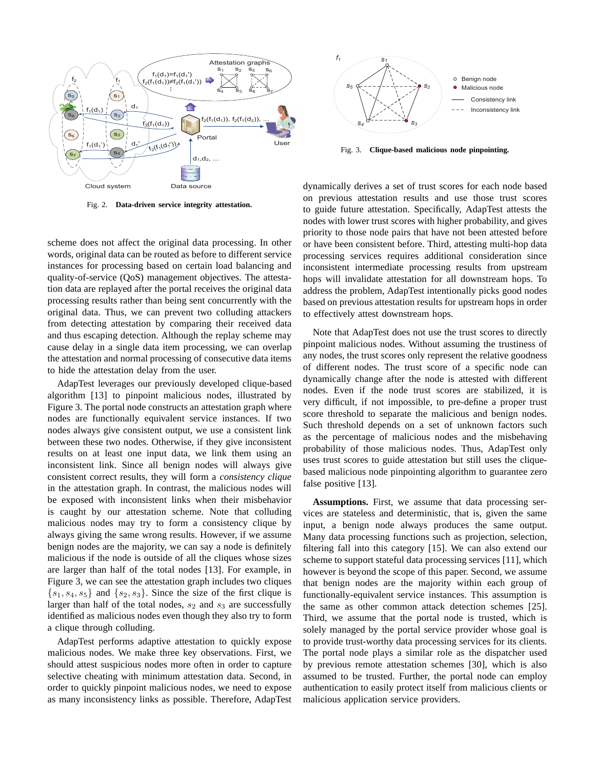

Fig. 2. **Data-driven service integrity attestation.**

scheme does not affect the original data processing. In other words, original data can be routed as before to different service instances for processing based on certain load balancing and quality-of-service (QoS) management objectives. The attestation data are replayed after the portal receives the original data processing results rather than being sent concurrently with the original data. Thus, we can prevent two colluding attackers from detecting attestation by comparing their received data and thus escaping detection. Although the replay scheme may cause delay in a single data item processing, we can overlap the attestation and normal processing of consecutive data items to hide the attestation delay from the user.

AdapTest leverages our previously developed clique-based algorithm [13] to pinpoint malicious nodes, illustrated by Figure 3. The portal node constructs an attestation graph where nodes are functionally equivalent service instances. If two nodes always give consistent output, we use a consistent link between these two nodes. Otherwise, if they give inconsistent results on at least one input data, we link them using an inconsistent link. Since all benign nodes will always give consistent correct results, they will form a *consistency clique* in the attestation graph. In contrast, the malicious nodes will be exposed with inconsistent links when their misbehavior is caught by our attestation scheme. Note that colluding malicious nodes may try to form a consistency clique by always giving the same wrong results. However, if we assume benign nodes are the majority, we can say a node is definitely malicious if the node is outside of all the cliques whose sizes are larger than half of the total nodes [13]. For example, in Figure 3, we can see the attestation graph includes two cliques  $\{s_1, s_4, s_5\}$  and  $\{s_2, s_3\}$ . Since the size of the first clique is larger than half of the total nodes,  $s_2$  and  $s_3$  are successfully identified as malicious nodes even though they also try to form a clique through colluding.

AdapTest performs adaptive attestation to quickly expose malicious nodes. We make three key observations. First, we should attest suspicious nodes more often in order to capture selective cheating with minimum attestation data. Second, in order to quickly pinpoint malicious nodes, we need to expose as many inconsistency links as possible. Therefore, AdapTest



Fig. 3. **Clique-based malicious node pinpointing.**

dynamically derives a set of trust scores for each node based on previous attestation results and use those trust scores to guide future attestation. Specifically, AdapTest attests the nodes with lower trust scores with higher probability, and gives priority to those node pairs that have not been attested before or have been consistent before. Third, attesting multi-hop data processing services requires additional consideration since inconsistent intermediate processing results from upstream hops will invalidate attestation for all downstream hops. To address the problem, AdapTest intentionally picks good nodes based on previous attestation results for upstream hops in order to effectively attest downstream hops.

Note that AdapTest does not use the trust scores to directly pinpoint malicious nodes. Without assuming the trustiness of any nodes, the trust scores only represent the relative goodness of different nodes. The trust score of a specific node can dynamically change after the node is attested with different nodes. Even if the node trust scores are stabilized, it is very difficult, if not impossible, to pre-define a proper trust score threshold to separate the malicious and benign nodes. Such threshold depends on a set of unknown factors such as the percentage of malicious nodes and the misbehaving probability of those malicious nodes. Thus, AdapTest only uses trust scores to guide attestation but still uses the cliquebased malicious node pinpointing algorithm to guarantee zero false positive [13].

**Assumptions.** First, we assume that data processing services are stateless and deterministic, that is, given the same input, a benign node always produces the same output. Many data processing functions such as projection, selection, filtering fall into this category [15]. We can also extend our scheme to support stateful data processing services [11], which however is beyond the scope of this paper. Second, we assume that benign nodes are the majority within each group of functionally-equivalent service instances. This assumption is the same as other common attack detection schemes [25]. Third, we assume that the portal node is trusted, which is solely managed by the portal service provider whose goal is to provide trust-worthy data processing services for its clients. The portal node plays a similar role as the dispatcher used by previous remote attestation schemes [30], which is also assumed to be trusted. Further, the portal node can employ authentication to easily protect itself from malicious clients or malicious application service providers.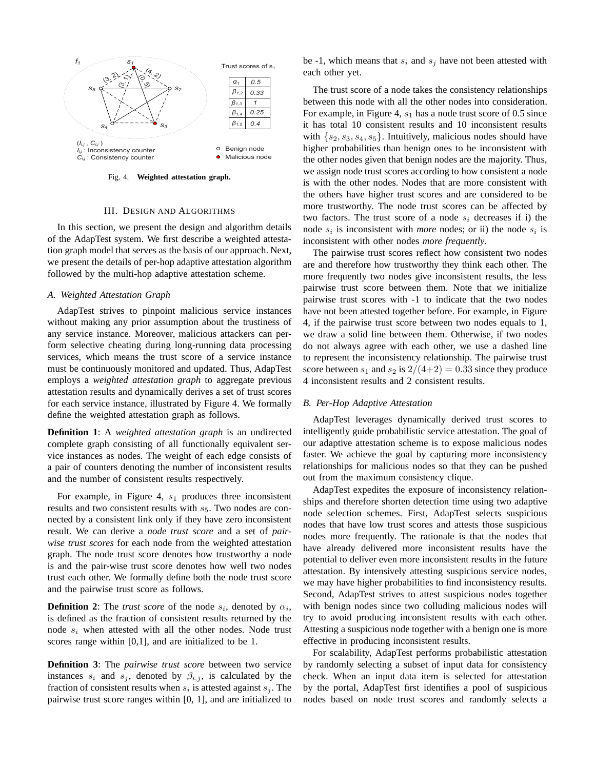

Fig. 4. **Weighted attestation graph.**

#### III. DESIGN AND ALGORITHMS

In this section, we present the design and algorithm details of the AdapTest system. We first describe a weighted attestation graph model that serves as the basis of our approach. Next, we present the details of per-hop adaptive attestation algorithm followed by the multi-hop adaptive attestation scheme.

## *A. Weighted Attestation Graph*

AdapTest strives to pinpoint malicious service instances without making any prior assumption about the trustiness of any service instance. Moreover, malicious attackers can perform selective cheating during long-running data processing services, which means the trust score of a service instance must be continuously monitored and updated. Thus, AdapTest employs a *weighted attestation graph* to aggregate previous attestation results and dynamically derives a set of trust scores for each service instance, illustrated by Figure 4. We formally define the weighted attestation graph as follows.

**Definition 1**: A *weighted attestation graph* is an undirected complete graph consisting of all functionally equivalent service instances as nodes. The weight of each edge consists of a pair of counters denoting the number of inconsistent results and the number of consistent results respectively.

For example, in Figure 4,  $s_1$  produces three inconsistent results and two consistent results with  $s<sub>5</sub>$ . Two nodes are connected by a consistent link only if they have zero inconsistent result. We can derive a *node trust score* and a set of *pairwise trust scores* for each node from the weighted attestation graph. The node trust score denotes how trustworthy a node is and the pair-wise trust score denotes how well two nodes trust each other. We formally define both the node trust score and the pairwise trust score as follows.

**Definition 2:** The *trust score* of the node  $s_i$ , denoted by  $\alpha_i$ , is defined as the fraction of consistent results returned by the node  $s_i$  when attested with all the other nodes. Node trust scores range within [0,1], and are initialized to be 1.

**Definition 3**: The *pairwise trust score* between two service instances  $s_i$  and  $s_j$ , denoted by  $\beta_{i,j}$ , is calculated by the fraction of consistent results when  $s_i$  is attested against  $s_j$ . The pairwise trust score ranges within [0, 1], and are initialized to

be -1, which means that  $s_i$  and  $s_j$  have not been attested with each other yet.

The trust score of a node takes the consistency relationships between this node with all the other nodes into consideration. For example, in Figure 4,  $s_1$  has a node trust score of 0.5 since it has total 10 consistent results and 10 inconsistent results with  $\{s_2, s_3, s_4, s_5\}$ . Intuitively, malicious nodes should have higher probabilities than benign ones to be inconsistent with the other nodes given that benign nodes are the majority. Thus, we assign node trust scores according to how consistent a node is with the other nodes. Nodes that are more consistent with the others have higher trust scores and are considered to be more trustworthy. The node trust scores can be affected by two factors. The trust score of a node  $s_i$  decreases if i) the node  $s_i$  is inconsistent with *more* nodes; or ii) the node  $s_i$  is inconsistent with other nodes *more frequently*.

The pairwise trust scores reflect how consistent two nodes are and therefore how trustworthy they think each other. The more frequently two nodes give inconsistent results, the less pairwise trust score between them. Note that we initialize pairwise trust scores with -1 to indicate that the two nodes have not been attested together before. For example, in Figure 4, if the pairwise trust score between two nodes equals to 1, we draw a solid line between them. Otherwise, if two nodes do not always agree with each other, we use a dashed line to represent the inconsistency relationship. The pairwise trust score between  $s_1$  and  $s_2$  is  $2/(4+2) = 0.33$  since they produce 4 inconsistent results and 2 consistent results.

## *B. Per-Hop Adaptive Attestation*

AdapTest leverages dynamically derived trust scores to intelligently guide probabilistic service attestation. The goal of our adaptive attestation scheme is to expose malicious nodes faster. We achieve the goal by capturing more inconsistency relationships for malicious nodes so that they can be pushed out from the maximum consistency clique.

AdapTest expedites the exposure of inconsistency relationships and therefore shorten detection time using two adaptive node selection schemes. First, AdapTest selects suspicious nodes that have low trust scores and attests those suspicious nodes more frequently. The rationale is that the nodes that have already delivered more inconsistent results have the potential to deliver even more inconsistent results in the future attestation. By intensively attesting suspicious service nodes, we may have higher probabilities to find inconsistency results. Second, AdapTest strives to attest suspicious nodes together with benign nodes since two colluding malicious nodes will try to avoid producing inconsistent results with each other. Attesting a suspicious node together with a benign one is more effective in producing inconsistent results.

For scalability, AdapTest performs probabilistic attestation by randomly selecting a subset of input data for consistency check. When an input data item is selected for attestation by the portal, AdapTest first identifies a pool of suspicious nodes based on node trust scores and randomly selects a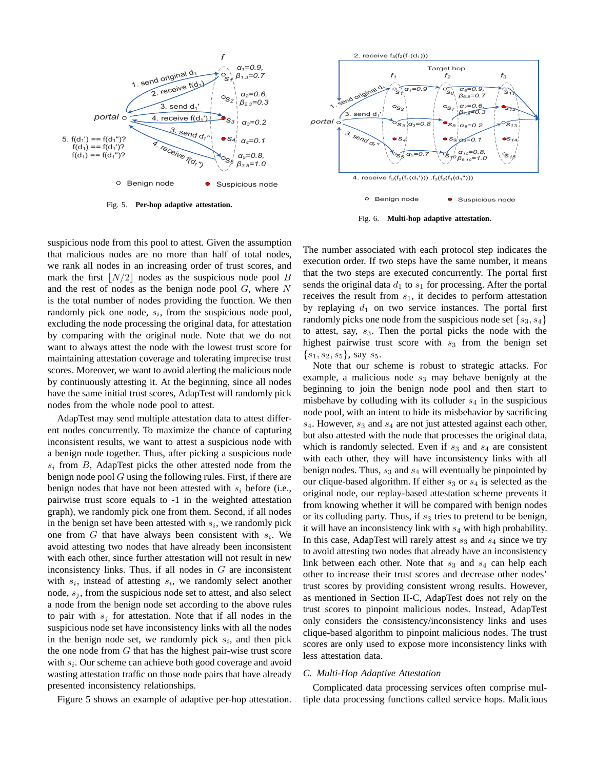

Fig. 5. **Per-hop adaptive attestation.**



Fig. 6. **Multi-hop adaptive attestation.**

suspicious node from this pool to attest. Given the assumption that malicious nodes are no more than half of total nodes, we rank all nodes in an increasing order of trust scores, and mark the first  $|N/2|$  nodes as the suspicious node pool B and the rest of nodes as the benign node pool  $G$ , where  $N$ is the total number of nodes providing the function. We then randomly pick one node,  $s_i$ , from the suspicious node pool, excluding the node processing the original data, for attestation by comparing with the original node. Note that we do not want to always attest the node with the lowest trust score for maintaining attestation coverage and tolerating imprecise trust scores. Moreover, we want to avoid alerting the malicious node by continuously attesting it. At the beginning, since all nodes have the same initial trust scores, AdapTest will randomly pick nodes from the whole node pool to attest.

AdapTest may send multiple attestation data to attest different nodes concurrently. To maximize the chance of capturing inconsistent results, we want to attest a suspicious node with a benign node together. Thus, after picking a suspicious node  $s_i$  from B, AdapTest picks the other attested node from the benign node pool  $G$  using the following rules. First, if there are benign nodes that have not been attested with  $s_i$  before (i.e., pairwise trust score equals to -1 in the weighted attestation graph), we randomly pick one from them. Second, if all nodes in the benign set have been attested with  $s_i$ , we randomly pick one from  $G$  that have always been consistent with  $s_i$ . We avoid attesting two nodes that have already been inconsistent with each other, since further attestation will not result in new inconsistency links. Thus, if all nodes in  $G$  are inconsistent with  $s_i$ , instead of attesting  $s_i$ , we randomly select another node,  $s_i$ , from the suspicious node set to attest, and also select a node from the benign node set according to the above rules to pair with  $s_i$  for attestation. Note that if all nodes in the suspicious node set have inconsistency links with all the nodes in the benign node set, we randomly pick  $s_i$ , and then pick the one node from  $G$  that has the highest pair-wise trust score with  $s_i$ . Our scheme can achieve both good coverage and avoid wasting attestation traffic on those node pairs that have already presented inconsistency relationships.

Figure 5 shows an example of adaptive per-hop attestation.

The number associated with each protocol step indicates the execution order. If two steps have the same number, it means that the two steps are executed concurrently. The portal first sends the original data  $d_1$  to  $s_1$  for processing. After the portal receives the result from  $s_1$ , it decides to perform attestation by replaying  $d_1$  on two service instances. The portal first randomly picks one node from the suspicious node set  $\{s_3, s_4\}$ to attest, say,  $s_3$ . Then the portal picks the node with the highest pairwise trust score with  $s_3$  from the benign set  $\{s_1, s_2, s_5\}$ , say  $s_5$ .

Note that our scheme is robust to strategic attacks. For example, a malicious node  $s_3$  may behave benignly at the beginning to join the benign node pool and then start to misbehave by colluding with its colluder  $s_4$  in the suspicious node pool, with an intent to hide its misbehavior by sacrificing  $s_4$ . However,  $s_3$  and  $s_4$  are not just attested against each other, but also attested with the node that processes the original data, which is randomly selected. Even if  $s_3$  and  $s_4$  are consistent with each other, they will have inconsistency links with all benign nodes. Thus,  $s_3$  and  $s_4$  will eventually be pinpointed by our clique-based algorithm. If either  $s_3$  or  $s_4$  is selected as the original node, our replay-based attestation scheme prevents it from knowing whether it will be compared with benign nodes or its colluding party. Thus, if  $s_3$  tries to pretend to be benign, it will have an inconsistency link with  $s_4$  with high probability. In this case, AdapTest will rarely attest  $s_3$  and  $s_4$  since we try to avoid attesting two nodes that already have an inconsistency link between each other. Note that  $s_3$  and  $s_4$  can help each other to increase their trust scores and decrease other nodes' trust scores by providing consistent wrong results. However, as mentioned in Section II-C, AdapTest does not rely on the trust scores to pinpoint malicious nodes. Instead, AdapTest only considers the consistency/inconsistency links and uses clique-based algorithm to pinpoint malicious nodes. The trust scores are only used to expose more inconsistency links with less attestation data.

#### *C. Multi-Hop Adaptive Attestation*

Complicated data processing services often comprise multiple data processing functions called service hops. Malicious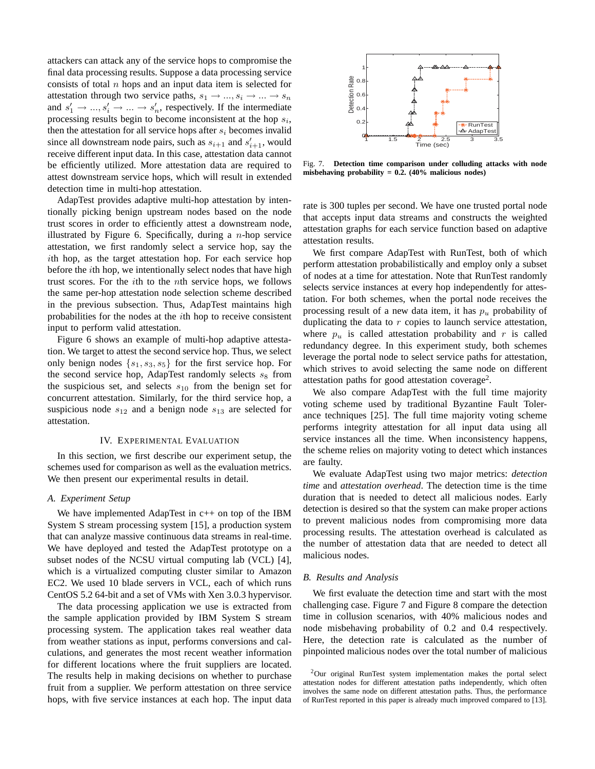attackers can attack any of the service hops to compromise the final data processing results. Suppose a data processing service consists of total  $n$  hops and an input data item is selected for attestation through two service paths,  $s_1 \rightarrow ..., s_i \rightarrow ... \rightarrow s_n$ and  $s'_1 \rightarrow ..., s'_i \rightarrow ... \rightarrow s'_n$ , respectively. If the intermediate processing results begin to become inconsistent at the hop  $s_i$ , then the attestation for all service hops after  $s_i$  becomes invalid since all downstream node pairs, such as  $s_{i+1}$  and  $s'_{i+1}$ , would receive different input data. In this case, attestation data cannot be efficiently utilized. More attestation data are required to attest downstream service hops, which will result in extended detection time in multi-hop attestation.

AdapTest provides adaptive multi-hop attestation by intentionally picking benign upstream nodes based on the node trust scores in order to efficiently attest a downstream node, illustrated by Figure 6. Specifically, during a  $n$ -hop service attestation, we first randomly select a service hop, say the ith hop, as the target attestation hop. For each service hop before the ith hop, we intentionally select nodes that have high trust scores. For the ith to the nth service hops, we follows the same per-hop attestation node selection scheme described in the previous subsection. Thus, AdapTest maintains high probabilities for the nodes at the ith hop to receive consistent input to perform valid attestation.

Figure 6 shows an example of multi-hop adaptive attestation. We target to attest the second service hop. Thus, we select only benign nodes  $\{s_1, s_3, s_5\}$  for the first service hop. For the second service hop, AdapTest randomly selects  $s_8$  from the suspicious set, and selects  $s_{10}$  from the benign set for concurrent attestation. Similarly, for the third service hop, a suspicious node  $s_{12}$  and a benign node  $s_{13}$  are selected for attestation.

#### IV. EXPERIMENTAL EVALUATION

In this section, we first describe our experiment setup, the schemes used for comparison as well as the evaluation metrics. We then present our experimental results in detail.

#### *A. Experiment Setup*

We have implemented AdapTest in c++ on top of the IBM System S stream processing system [15], a production system that can analyze massive continuous data streams in real-time. We have deployed and tested the AdapTest prototype on a subset nodes of the NCSU virtual computing lab (VCL) [4], which is a virtualized computing cluster similar to Amazon EC2. We used 10 blade servers in VCL, each of which runs CentOS 5.2 64-bit and a set of VMs with Xen 3.0.3 hypervisor.

The data processing application we use is extracted from the sample application provided by IBM System S stream processing system. The application takes real weather data from weather stations as input, performs conversions and calculations, and generates the most recent weather information for different locations where the fruit suppliers are located. The results help in making decisions on whether to purchase fruit from a supplier. We perform attestation on three service hops, with five service instances at each hop. The input data



Fig. 7. **Detection time comparison under colluding attacks with node misbehaving probability = 0.2. (40% malicious nodes)**

rate is 300 tuples per second. We have one trusted portal node that accepts input data streams and constructs the weighted attestation graphs for each service function based on adaptive attestation results.

We first compare AdapTest with RunTest, both of which perform attestation probabilistically and employ only a subset of nodes at a time for attestation. Note that RunTest randomly selects service instances at every hop independently for attestation. For both schemes, when the portal node receives the processing result of a new data item, it has  $p_u$  probability of duplicating the data to  $r$  copies to launch service attestation, where  $p_u$  is called attestation probability and r is called redundancy degree. In this experiment study, both schemes leverage the portal node to select service paths for attestation, which strives to avoid selecting the same node on different attestation paths for good attestation coverage<sup>2</sup>.

We also compare AdapTest with the full time majority voting scheme used by traditional Byzantine Fault Tolerance techniques [25]. The full time majority voting scheme performs integrity attestation for all input data using all service instances all the time. When inconsistency happens, the scheme relies on majority voting to detect which instances are faulty.

We evaluate AdapTest using two major metrics: *detection time* and *attestation overhead*. The detection time is the time duration that is needed to detect all malicious nodes. Early detection is desired so that the system can make proper actions to prevent malicious nodes from compromising more data processing results. The attestation overhead is calculated as the number of attestation data that are needed to detect all malicious nodes.

## *B. Results and Analysis*

We first evaluate the detection time and start with the most challenging case. Figure 7 and Figure 8 compare the detection time in collusion scenarios, with 40% malicious nodes and node misbehaving probability of 0.2 and 0.4 respectively. Here, the detection rate is calculated as the number of pinpointed malicious nodes over the total number of malicious

<sup>2</sup>Our original RunTest system implementation makes the portal select attestation nodes for different attestation paths independently, which often involves the same node on different attestation paths. Thus, the performance of RunTest reported in this paper is already much improved compared to [13].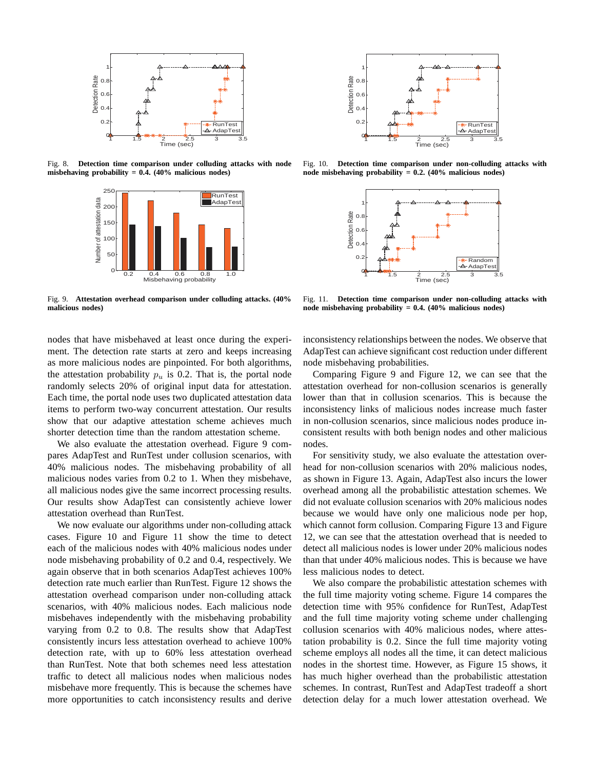

Fig. 8. **Detection time comparison under colluding attacks with node misbehaving probability = 0.4. (40% malicious nodes)**



Fig. 9. **Attestation overhead comparison under colluding attacks. (40% malicious nodes)**

nodes that have misbehaved at least once during the experiment. The detection rate starts at zero and keeps increasing as more malicious nodes are pinpointed. For both algorithms, the attestation probability  $p_u$  is 0.2. That is, the portal node randomly selects 20% of original input data for attestation. Each time, the portal node uses two duplicated attestation data items to perform two-way concurrent attestation. Our results show that our adaptive attestation scheme achieves much shorter detection time than the random attestation scheme.

We also evaluate the attestation overhead. Figure 9 compares AdapTest and RunTest under collusion scenarios, with 40% malicious nodes. The misbehaving probability of all malicious nodes varies from 0.2 to 1. When they misbehave, all malicious nodes give the same incorrect processing results. Our results show AdapTest can consistently achieve lower attestation overhead than RunTest.

We now evaluate our algorithms under non-colluding attack cases. Figure 10 and Figure 11 show the time to detect each of the malicious nodes with 40% malicious nodes under node misbehaving probability of 0.2 and 0.4, respectively. We again observe that in both scenarios AdapTest achieves 100% detection rate much earlier than RunTest. Figure 12 shows the attestation overhead comparison under non-colluding attack scenarios, with 40% malicious nodes. Each malicious node misbehaves independently with the misbehaving probability varying from 0.2 to 0.8. The results show that AdapTest consistently incurs less attestation overhead to achieve 100% detection rate, with up to 60% less attestation overhead than RunTest. Note that both schemes need less attestation traffic to detect all malicious nodes when malicious nodes misbehave more frequently. This is because the schemes have more opportunities to catch inconsistency results and derive



Fig. 10. **Detection time comparison under non-colluding attacks with node misbehaving probability = 0.2. (40% malicious nodes)**



Fig. 11. **Detection time comparison under non-colluding attacks with node misbehaving probability = 0.4. (40% malicious nodes)**

inconsistency relationships between the nodes. We observe that AdapTest can achieve significant cost reduction under different node misbehaving probabilities.

Comparing Figure 9 and Figure 12, we can see that the attestation overhead for non-collusion scenarios is generally lower than that in collusion scenarios. This is because the inconsistency links of malicious nodes increase much faster in non-collusion scenarios, since malicious nodes produce inconsistent results with both benign nodes and other malicious nodes.

For sensitivity study, we also evaluate the attestation overhead for non-collusion scenarios with 20% malicious nodes, as shown in Figure 13. Again, AdapTest also incurs the lower overhead among all the probabilistic attestation schemes. We did not evaluate collusion scenarios with 20% malicious nodes because we would have only one malicious node per hop, which cannot form collusion. Comparing Figure 13 and Figure 12, we can see that the attestation overhead that is needed to detect all malicious nodes is lower under 20% malicious nodes than that under 40% malicious nodes. This is because we have less malicious nodes to detect.

We also compare the probabilistic attestation schemes with the full time majority voting scheme. Figure 14 compares the detection time with 95% confidence for RunTest, AdapTest and the full time majority voting scheme under challenging collusion scenarios with 40% malicious nodes, where attestation probability is 0.2. Since the full time majority voting scheme employs all nodes all the time, it can detect malicious nodes in the shortest time. However, as Figure 15 shows, it has much higher overhead than the probabilistic attestation schemes. In contrast, RunTest and AdapTest tradeoff a short detection delay for a much lower attestation overhead. We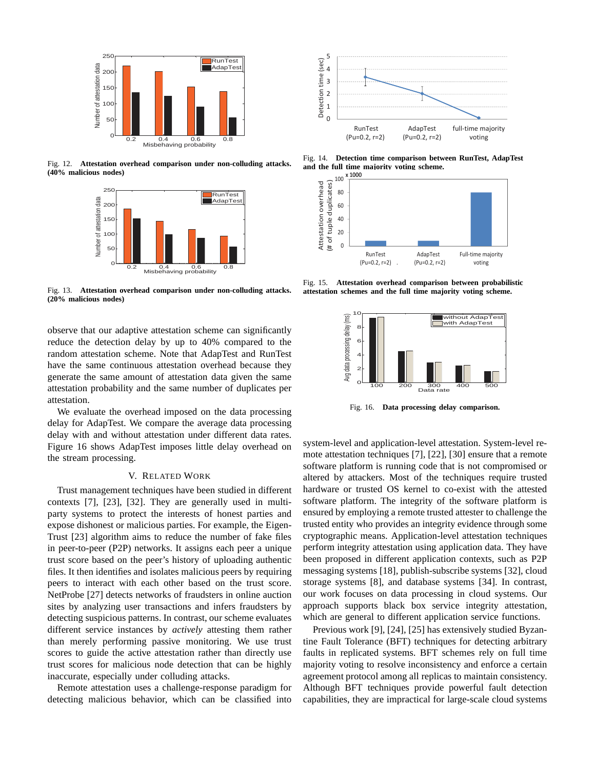

Fig. 12. **Attestation overhead comparison under non-colluding attacks. (40% malicious nodes)**



Fig. 13. **Attestation overhead comparison under non-colluding attacks. (20% malicious nodes)**

observe that our adaptive attestation scheme can significantly reduce the detection delay by up to 40% compared to the random attestation scheme. Note that AdapTest and RunTest have the same continuous attestation overhead because they generate the same amount of attestation data given the same attestation probability and the same number of duplicates per attestation.

We evaluate the overhead imposed on the data processing delay for AdapTest. We compare the average data processing delay with and without attestation under different data rates. Figure 16 shows AdapTest imposes little delay overhead on the stream processing.

### V. RELATED WORK

Trust management techniques have been studied in different contexts [7], [23], [32]. They are generally used in multiparty systems to protect the interests of honest parties and expose dishonest or malicious parties. For example, the Eigen-Trust [23] algorithm aims to reduce the number of fake files in peer-to-peer (P2P) networks. It assigns each peer a unique trust score based on the peer's history of uploading authentic files. It then identifies and isolates malicious peers by requiring peers to interact with each other based on the trust score. NetProbe [27] detects networks of fraudsters in online auction sites by analyzing user transactions and infers fraudsters by detecting suspicious patterns. In contrast, our scheme evaluates different service instances by *actively* attesting them rather than merely performing passive monitoring. We use trust scores to guide the active attestation rather than directly use trust scores for malicious node detection that can be highly inaccurate, especially under colluding attacks.

Remote attestation uses a challenge-response paradigm for detecting malicious behavior, which can be classified into



Fig. 14. **Detection time comparison between RunTest, AdapTest and the full time majority voting scheme.**



Fig. 15. **Attestation overhead comparison between probabilistic attestation schemes and the full time majority voting scheme.**



Fig. 16. **Data processing delay comparison.**

system-level and application-level attestation. System-level remote attestation techniques [7], [22], [30] ensure that a remote software platform is running code that is not compromised or altered by attackers. Most of the techniques require trusted hardware or trusted OS kernel to co-exist with the attested software platform. The integrity of the software platform is ensured by employing a remote trusted attester to challenge the trusted entity who provides an integrity evidence through some cryptographic means. Application-level attestation techniques perform integrity attestation using application data. They have been proposed in different application contexts, such as P2P messaging systems [18], publish-subscribe systems [32], cloud storage systems [8], and database systems [34]. In contrast, our work focuses on data processing in cloud systems. Our approach supports black box service integrity attestation, which are general to different application service functions.

Previous work [9], [24], [25] has extensively studied Byzantine Fault Tolerance (BFT) techniques for detecting arbitrary faults in replicated systems. BFT schemes rely on full time majority voting to resolve inconsistency and enforce a certain agreement protocol among all replicas to maintain consistency. Although BFT techniques provide powerful fault detection capabilities, they are impractical for large-scale cloud systems